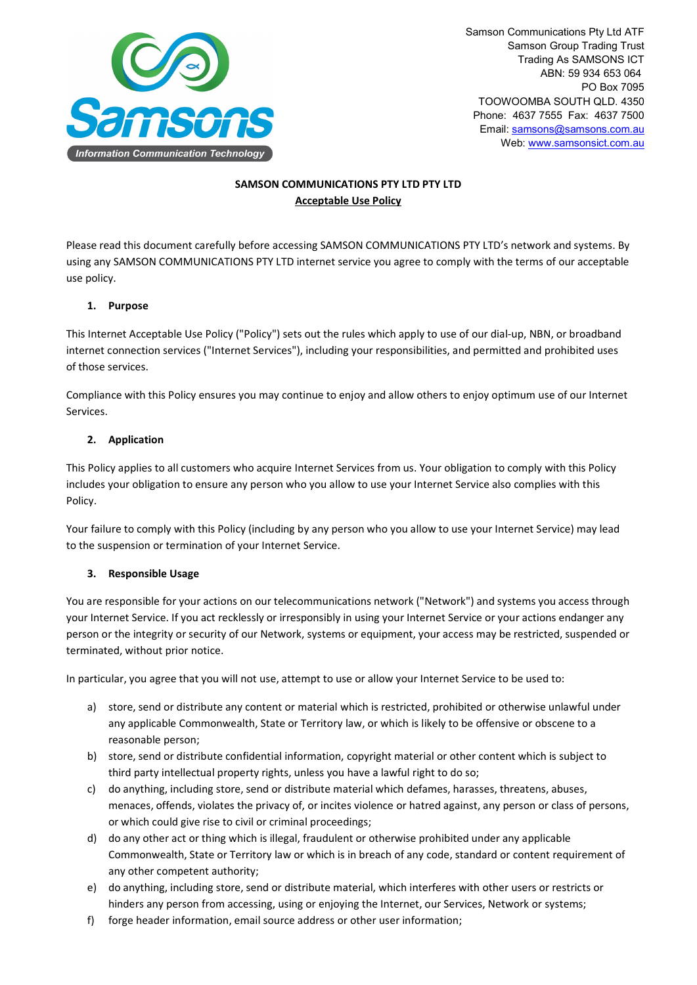

Samson Communications Pty Ltd ATF Samson Group Trading Trust Trading As SAMSONS ICT ABN: 59 934 653 064 PO Box 7095 TOOWOOMBA SOUTH QLD. 4350 Phone: 4637 7555 Fax: 4637 7500 Email: [samsons@samsons.com.au](mailto:samsons@samsons.com.au) Web: [www.samsonsict.com.au](http://www.samsonsict.com.au/)

# **SAMSON COMMUNICATIONS PTY LTD PTY LTD Acceptable Use Policy**

Please read this document carefully before accessing SAMSON COMMUNICATIONS PTY LTD's network and systems. By using any SAMSON COMMUNICATIONS PTY LTD internet service you agree to comply with the terms of our acceptable use policy.

### **1. Purpose**

This Internet Acceptable Use Policy ("Policy") sets out the rules which apply to use of our dial-up, NBN, or broadband internet connection services ("Internet Services"), including your responsibilities, and permitted and prohibited uses of those services.

Compliance with this Policy ensures you may continue to enjoy and allow others to enjoy optimum use of our Internet Services.

### **2. Application**

This Policy applies to all customers who acquire Internet Services from us. Your obligation to comply with this Policy includes your obligation to ensure any person who you allow to use your Internet Service also complies with this Policy.

Your failure to comply with this Policy (including by any person who you allow to use your Internet Service) may lead to the suspension or termination of your Internet Service.

#### **3. Responsible Usage**

You are responsible for your actions on our telecommunications network ("Network") and systems you access through your Internet Service. If you act recklessly or irresponsibly in using your Internet Service or your actions endanger any person or the integrity or security of our Network, systems or equipment, your access may be restricted, suspended or terminated, without prior notice.

In particular, you agree that you will not use, attempt to use or allow your Internet Service to be used to:

- a) store, send or distribute any content or material which is restricted, prohibited or otherwise unlawful under any applicable Commonwealth, State or Territory law, or which is likely to be offensive or obscene to a reasonable person;
- b) store, send or distribute confidential information, copyright material or other content which is subject to third party intellectual property rights, unless you have a lawful right to do so;
- c) do anything, including store, send or distribute material which defames, harasses, threatens, abuses, menaces, offends, violates the privacy of, or incites violence or hatred against, any person or class of persons, or which could give rise to civil or criminal proceedings;
- d) do any other act or thing which is illegal, fraudulent or otherwise prohibited under any applicable Commonwealth, State or Territory law or which is in breach of any code, standard or content requirement of any other competent authority;
- e) do anything, including store, send or distribute material, which interferes with other users or restricts or hinders any person from accessing, using or enjoying the Internet, our Services, Network or systems;
- f) forge header information, email source address or other user information;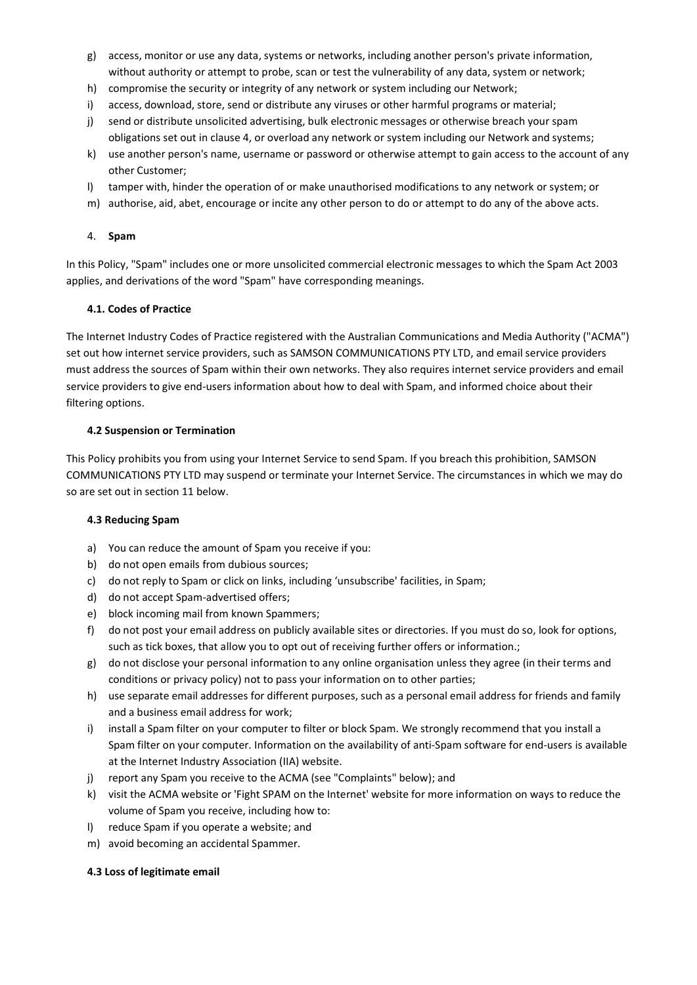- g) access, monitor or use any data, systems or networks, including another person's private information, without authority or attempt to probe, scan or test the vulnerability of any data, system or network;
- h) compromise the security or integrity of any network or system including our Network;
- i) access, download, store, send or distribute any viruses or other harmful programs or material;
- j) send or distribute unsolicited advertising, bulk electronic messages or otherwise breach your spam obligations set out in clause 4, or overload any network or system including our Network and systems;
- k) use another person's name, username or password or otherwise attempt to gain access to the account of any other Customer;
- l) tamper with, hinder the operation of or make unauthorised modifications to any network or system; or
- m) authorise, aid, abet, encourage or incite any other person to do or attempt to do any of the above acts.

#### 4. **Spam**

In this Policy, "Spam" includes one or more unsolicited commercial electronic messages to which the Spam Act 2003 applies, and derivations of the word "Spam" have corresponding meanings.

#### **4.1. Codes of Practice**

The Internet Industry Codes of Practice registered with the Australian Communications and Media Authority ("ACMA") set out how internet service providers, such as SAMSON COMMUNICATIONS PTY LTD, and email service providers must address the sources of Spam within their own networks. They also requires internet service providers and email service providers to give end-users information about how to deal with Spam, and informed choice about their filtering options.

### **4.2 Suspension or Termination**

This Policy prohibits you from using your Internet Service to send Spam. If you breach this prohibition, SAMSON COMMUNICATIONS PTY LTD may suspend or terminate your Internet Service. The circumstances in which we may do so are set out in section 11 below.

#### **4.3 Reducing Spam**

- a) You can reduce the amount of Spam you receive if you:
- b) do not open emails from dubious sources;
- c) do not reply to Spam or click on links, including 'unsubscribe' facilities, in Spam;
- d) do not accept Spam-advertised offers;
- e) block incoming mail from known Spammers;
- f) do not post your email address on publicly available sites or directories. If you must do so, look for options, such as tick boxes, that allow you to opt out of receiving further offers or information.;
- g) do not disclose your personal information to any online organisation unless they agree (in their terms and conditions or privacy policy) not to pass your information on to other parties;
- h) use separate email addresses for different purposes, such as a personal email address for friends and family and a business email address for work;
- i) install a Spam filter on your computer to filter or block Spam. We strongly recommend that you install a Spam filter on your computer. Information on the availability of anti-Spam software for end-users is available at the Internet Industry Association (IIA) website.
- j) report any Spam you receive to the ACMA (see "Complaints" below); and
- k) visit the ACMA website or 'Fight SPAM on the Internet' website for more information on ways to reduce the volume of Spam you receive, including how to:
- l) reduce Spam if you operate a website; and
- m) avoid becoming an accidental Spammer.

#### **4.3 Loss of legitimate email**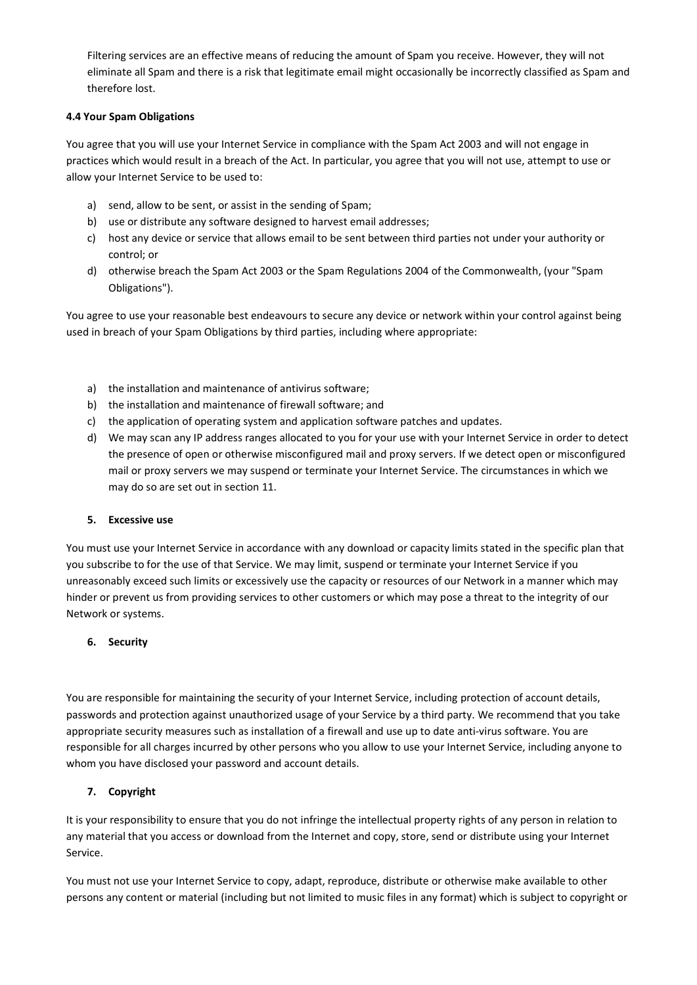Filtering services are an effective means of reducing the amount of Spam you receive. However, they will not eliminate all Spam and there is a risk that legitimate email might occasionally be incorrectly classified as Spam and therefore lost.

# **4.4 Your Spam Obligations**

You agree that you will use your Internet Service in compliance with the Spam Act 2003 and will not engage in practices which would result in a breach of the Act. In particular, you agree that you will not use, attempt to use or allow your Internet Service to be used to:

- a) send, allow to be sent, or assist in the sending of Spam;
- b) use or distribute any software designed to harvest email addresses;
- c) host any device or service that allows email to be sent between third parties not under your authority or control; or
- d) otherwise breach the Spam Act 2003 or the Spam Regulations 2004 of the Commonwealth, (your "Spam Obligations").

You agree to use your reasonable best endeavours to secure any device or network within your control against being used in breach of your Spam Obligations by third parties, including where appropriate:

- a) the installation and maintenance of antivirus software;
- b) the installation and maintenance of firewall software; and
- c) the application of operating system and application software patches and updates.
- d) We may scan any IP address ranges allocated to you for your use with your Internet Service in order to detect the presence of open or otherwise misconfigured mail and proxy servers. If we detect open or misconfigured mail or proxy servers we may suspend or terminate your Internet Service. The circumstances in which we may do so are set out in section 11.

#### **5. Excessive use**

You must use your Internet Service in accordance with any download or capacity limits stated in the specific plan that you subscribe to for the use of that Service. We may limit, suspend or terminate your Internet Service if you unreasonably exceed such limits or excessively use the capacity or resources of our Network in a manner which may hinder or prevent us from providing services to other customers or which may pose a threat to the integrity of our Network or systems.

#### **6. Security**

You are responsible for maintaining the security of your Internet Service, including protection of account details, passwords and protection against unauthorized usage of your Service by a third party. We recommend that you take appropriate security measures such as installation of a firewall and use up to date anti-virus software. You are responsible for all charges incurred by other persons who you allow to use your Internet Service, including anyone to whom you have disclosed your password and account details.

#### **7. Copyright**

It is your responsibility to ensure that you do not infringe the intellectual property rights of any person in relation to any material that you access or download from the Internet and copy, store, send or distribute using your Internet Service.

You must not use your Internet Service to copy, adapt, reproduce, distribute or otherwise make available to other persons any content or material (including but not limited to music files in any format) which is subject to copyright or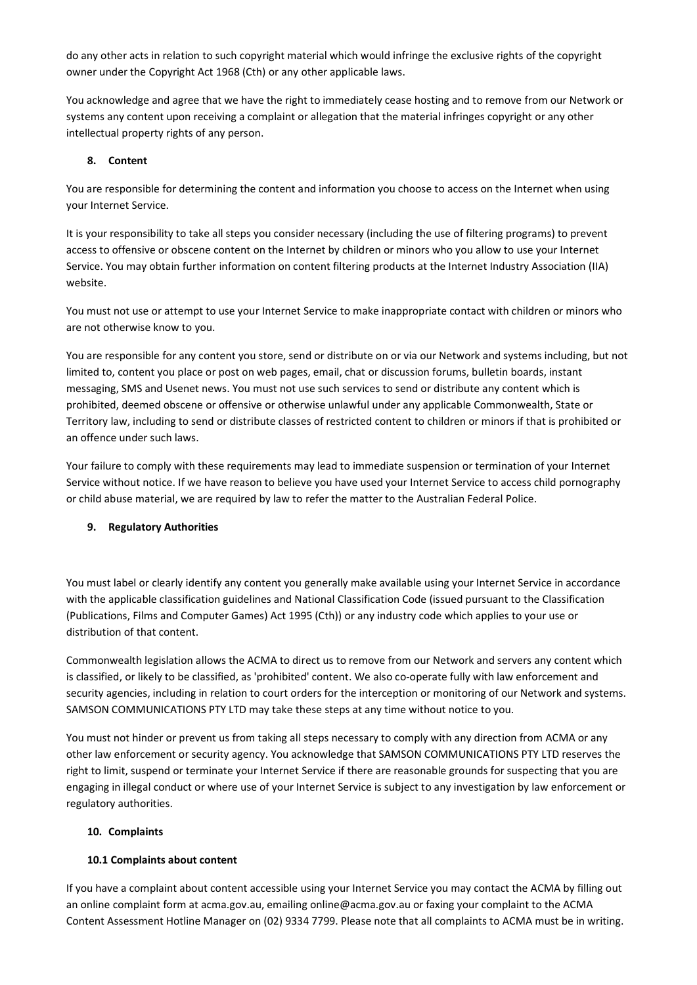do any other acts in relation to such copyright material which would infringe the exclusive rights of the copyright owner under the Copyright Act 1968 (Cth) or any other applicable laws.

You acknowledge and agree that we have the right to immediately cease hosting and to remove from our Network or systems any content upon receiving a complaint or allegation that the material infringes copyright or any other intellectual property rights of any person.

### **8. Content**

You are responsible for determining the content and information you choose to access on the Internet when using your Internet Service.

It is your responsibility to take all steps you consider necessary (including the use of filtering programs) to prevent access to offensive or obscene content on the Internet by children or minors who you allow to use your Internet Service. You may obtain further information on content filtering products at the Internet Industry Association (IIA) website.

You must not use or attempt to use your Internet Service to make inappropriate contact with children or minors who are not otherwise know to you.

You are responsible for any content you store, send or distribute on or via our Network and systems including, but not limited to, content you place or post on web pages, email, chat or discussion forums, bulletin boards, instant messaging, SMS and Usenet news. You must not use such services to send or distribute any content which is prohibited, deemed obscene or offensive or otherwise unlawful under any applicable Commonwealth, State or Territory law, including to send or distribute classes of restricted content to children or minors if that is prohibited or an offence under such laws.

Your failure to comply with these requirements may lead to immediate suspension or termination of your Internet Service without notice. If we have reason to believe you have used your Internet Service to access child pornography or child abuse material, we are required by law to refer the matter to the Australian Federal Police.

#### **9. Regulatory Authorities**

You must label or clearly identify any content you generally make available using your Internet Service in accordance with the applicable classification guidelines and National Classification Code (issued pursuant to the Classification (Publications, Films and Computer Games) Act 1995 (Cth)) or any industry code which applies to your use or distribution of that content.

Commonwealth legislation allows the ACMA to direct us to remove from our Network and servers any content which is classified, or likely to be classified, as 'prohibited' content. We also co-operate fully with law enforcement and security agencies, including in relation to court orders for the interception or monitoring of our Network and systems. SAMSON COMMUNICATIONS PTY LTD may take these steps at any time without notice to you.

You must not hinder or prevent us from taking all steps necessary to comply with any direction from ACMA or any other law enforcement or security agency. You acknowledge that SAMSON COMMUNICATIONS PTY LTD reserves the right to limit, suspend or terminate your Internet Service if there are reasonable grounds for suspecting that you are engaging in illegal conduct or where use of your Internet Service is subject to any investigation by law enforcement or regulatory authorities.

#### **10. Complaints**

#### **10.1 Complaints about content**

If you have a complaint about content accessible using your Internet Service you may contact the ACMA by filling out an online complaint form at acma.gov.au, emailing online@acma.gov.au or faxing your complaint to the ACMA Content Assessment Hotline Manager on (02) 9334 7799. Please note that all complaints to ACMA must be in writing.